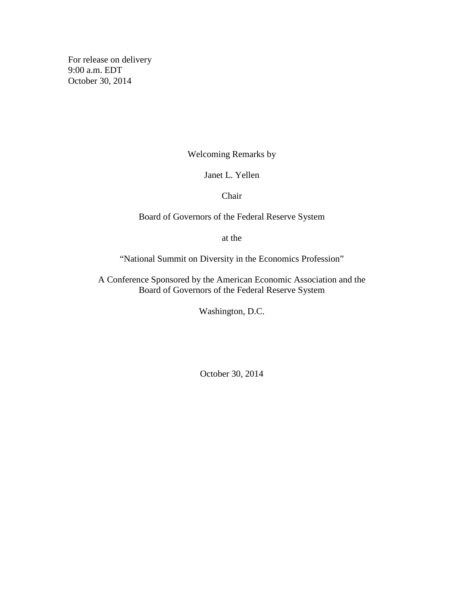For release on delivery 9:00 a.m. EDT October 30, 2014

Welcoming Remarks by

Janet L. Yellen

Chair

## Board of Governors of the Federal Reserve System

at the

"National Summit on Diversity in the Economics Profession"

A Conference Sponsored by the American Economic Association and the Board of Governors of the Federal Reserve System

Washington, D.C.

October 30, 2014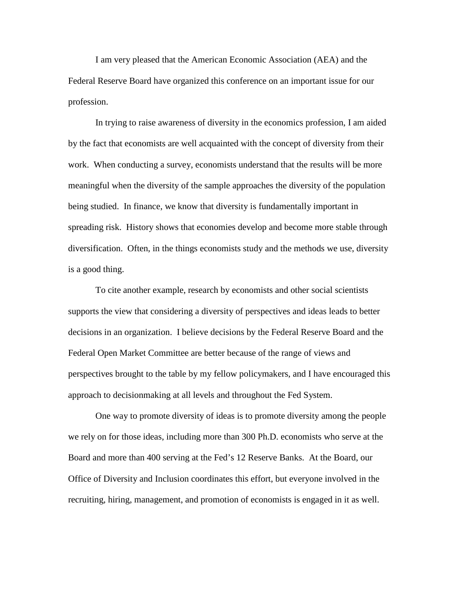I am very pleased that the American Economic Association (AEA) and the Federal Reserve Board have organized this conference on an important issue for our profession.

In trying to raise awareness of diversity in the economics profession, I am aided by the fact that economists are well acquainted with the concept of diversity from their work. When conducting a survey, economists understand that the results will be more meaningful when the diversity of the sample approaches the diversity of the population being studied. In finance, we know that diversity is fundamentally important in spreading risk. History shows that economies develop and become more stable through diversification. Often, in the things economists study and the methods we use, diversity is a good thing.

To cite another example, research by economists and other social scientists supports the view that considering a diversity of perspectives and ideas leads to better decisions in an organization. I believe decisions by the Federal Reserve Board and the Federal Open Market Committee are better because of the range of views and perspectives brought to the table by my fellow policymakers, and I have encouraged this approach to decisionmaking at all levels and throughout the Fed System.

One way to promote diversity of ideas is to promote diversity among the people we rely on for those ideas, including more than 300 Ph.D. economists who serve at the Board and more than 400 serving at the Fed's 12 Reserve Banks. At the Board, our Office of Diversity and Inclusion coordinates this effort, but everyone involved in the recruiting, hiring, management, and promotion of economists is engaged in it as well.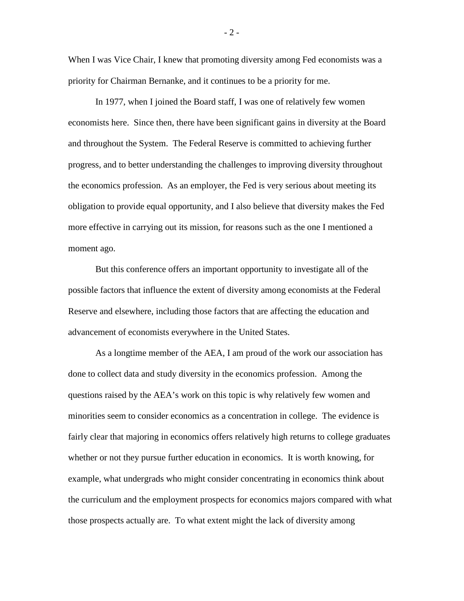When I was Vice Chair, I knew that promoting diversity among Fed economists was a priority for Chairman Bernanke, and it continues to be a priority for me.

In 1977, when I joined the Board staff, I was one of relatively few women economists here. Since then, there have been significant gains in diversity at the Board and throughout the System. The Federal Reserve is committed to achieving further progress, and to better understanding the challenges to improving diversity throughout the economics profession. As an employer, the Fed is very serious about meeting its obligation to provide equal opportunity, and I also believe that diversity makes the Fed more effective in carrying out its mission, for reasons such as the one I mentioned a moment ago.

But this conference offers an important opportunity to investigate all of the possible factors that influence the extent of diversity among economists at the Federal Reserve and elsewhere, including those factors that are affecting the education and advancement of economists everywhere in the United States.

As a longtime member of the AEA, I am proud of the work our association has done to collect data and study diversity in the economics profession. Among the questions raised by the AEA's work on this topic is why relatively few women and minorities seem to consider economics as a concentration in college. The evidence is fairly clear that majoring in economics offers relatively high returns to college graduates whether or not they pursue further education in economics. It is worth knowing, for example, what undergrads who might consider concentrating in economics think about the curriculum and the employment prospects for economics majors compared with what those prospects actually are. To what extent might the lack of diversity among

 $-2-$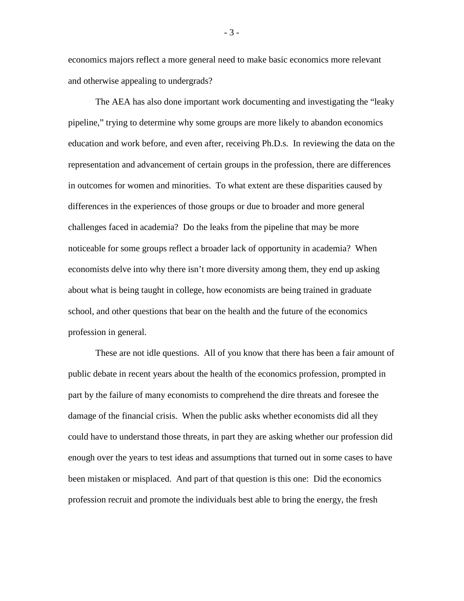economics majors reflect a more general need to make basic economics more relevant and otherwise appealing to undergrads?

The AEA has also done important work documenting and investigating the "leaky pipeline," trying to determine why some groups are more likely to abandon economics education and work before, and even after, receiving Ph.D.s. In reviewing the data on the representation and advancement of certain groups in the profession, there are differences in outcomes for women and minorities. To what extent are these disparities caused by differences in the experiences of those groups or due to broader and more general challenges faced in academia? Do the leaks from the pipeline that may be more noticeable for some groups reflect a broader lack of opportunity in academia? When economists delve into why there isn't more diversity among them, they end up asking about what is being taught in college, how economists are being trained in graduate school, and other questions that bear on the health and the future of the economics profession in general.

These are not idle questions. All of you know that there has been a fair amount of public debate in recent years about the health of the economics profession, prompted in part by the failure of many economists to comprehend the dire threats and foresee the damage of the financial crisis. When the public asks whether economists did all they could have to understand those threats, in part they are asking whether our profession did enough over the years to test ideas and assumptions that turned out in some cases to have been mistaken or misplaced. And part of that question is this one: Did the economics profession recruit and promote the individuals best able to bring the energy, the fresh

- 3 -